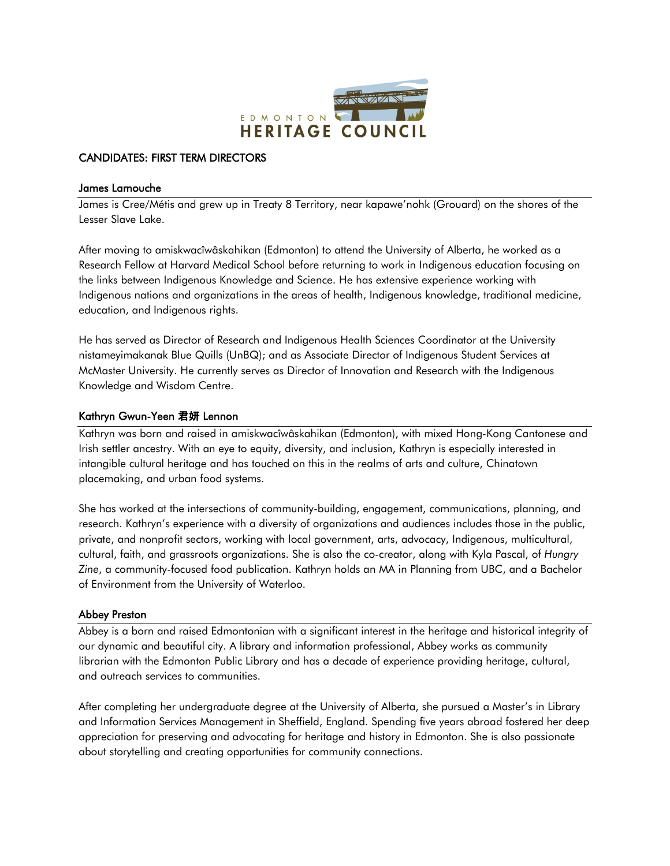

# CANDIDATES: FIRST TERM DIRECTORS

#### James Lamouche

James is Cree/Métis and grew up in Treaty 8 Territory, near kapawe'nohk (Grouard) on the shores of the Lesser Slave Lake.

After moving to amiskwacîwâskahikan (Edmonton) to attend the University of Alberta, he worked as a Research Fellow at Harvard Medical School before returning to work in Indigenous education focusing on the links between Indigenous Knowledge and Science. He has extensive experience working with Indigenous nations and organizations in the areas of health, Indigenous knowledge, traditional medicine, education, and Indigenous rights.

He has served as Director of Research and Indigenous Health Sciences Coordinator at the University nistameyimakanak Blue Quills (UnBQ); and as Associate Director of Indigenous Student Services at McMaster University. He currently serves as Director of Innovation and Research with the Indigenous Knowledge and Wisdom Centre.

## Kathryn Gwun-Yeen 君妍 Lennon

Kathryn was born and raised in amiskwacîwâskahikan (Edmonton), with mixed Hong-Kong Cantonese and Irish settler ancestry. With an eye to equity, diversity, and inclusion, Kathryn is especially interested in intangible cultural heritage and has touched on this in the realms of arts and culture, Chinatown placemaking, and urban food systems.

She has worked at the intersections of community-building, engagement, communications, planning, and research. Kathryn's experience with a diversity of organizations and audiences includes those in the public, private, and nonprofit sectors, working with local government, arts, advocacy, Indigenous, multicultural, cultural, faith, and grassroots organizations. She is also the co-creator, along with Kyla Pascal, of *Hungry Zine*, a community-focused food publication. Kathryn holds an MA in Planning from UBC, and a Bachelor of Environment from the University of Waterloo.

## Abbey Preston

Abbey is a born and raised Edmontonian with a significant interest in the heritage and historical integrity of our dynamic and beautiful city. A library and information professional, Abbey works as community librarian with the Edmonton Public Library and has a decade of experience providing heritage, cultural, and outreach services to communities.

After completing her undergraduate degree at the University of Alberta, she pursued a Master's in Library and Information Services Management in Sheffield, England. Spending five years abroad fostered her deep appreciation for preserving and advocating for heritage and history in Edmonton. She is also passionate about storytelling and creating opportunities for community connections.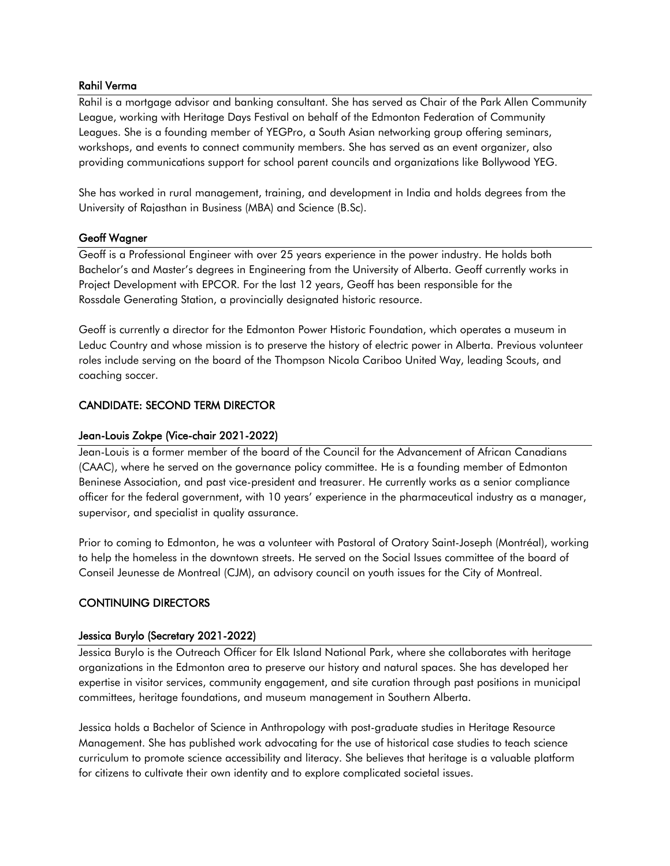### Rahil Verma

Rahil is a mortgage advisor and banking consultant. She has served as Chair of the Park Allen Community League, working with Heritage Days Festival on behalf of the Edmonton Federation of Community Leagues. She is a founding member of YEGPro, a South Asian networking group offering seminars, workshops, and events to connect community members. She has served as an event organizer, also providing communications support for school parent councils and organizations like Bollywood YEG.

She has worked in rural management, training, and development in India and holds degrees from the University of Rajasthan in Business (MBA) and Science (B.Sc).

### Geoff Wagner

Geoff is a Professional Engineer with over 25 years experience in the power industry. He holds both Bachelor's and Master's degrees in Engineering from the University of Alberta. Geoff currently works in Project Development with EPCOR. For the last 12 years, Geoff has been responsible for the Rossdale Generating Station, a provincially designated historic resource.

Geoff is currently a director for the Edmonton Power Historic Foundation, which operates a museum in Leduc Country and whose mission is to preserve the history of electric power in Alberta. Previous volunteer roles include serving on the board of the Thompson Nicola Cariboo United Way, leading Scouts, and coaching soccer.

## CANDIDATE: SECOND TERM DIRECTOR

### Jean-Louis Zokpe (Vice-chair 2021-2022)

Jean-Louis is a former member of the board of the Council for the Advancement of African Canadians (CAAC), where he served on the governance policy committee. He is a founding member of Edmonton Beninese Association, and past vice-president and treasurer. He currently works as a senior compliance officer for the federal government, with 10 years' experience in the pharmaceutical industry as a manager, supervisor, and specialist in quality assurance.

Prior to coming to Edmonton, he was a volunteer with Pastoral of Oratory Saint-Joseph (Montréal), working to help the homeless in the downtown streets. He served on the Social Issues committee of the board of Conseil Jeunesse de Montreal (CJM), an advisory council on youth issues for the City of Montreal.

#### CONTINUING DIRECTORS

#### Jessica Burylo (Secretary 2021-2022)

Jessica Burylo is the Outreach Officer for Elk Island National Park, where she collaborates with heritage organizations in the Edmonton area to preserve our history and natural spaces. She has developed her expertise in visitor services, community engagement, and site curation through past positions in municipal committees, heritage foundations, and museum management in Southern Alberta.

Jessica holds a Bachelor of Science in Anthropology with post-graduate studies in Heritage Resource Management. She has published work advocating for the use of historical case studies to teach science curriculum to promote science accessibility and literacy. She believes that heritage is a valuable platform for citizens to cultivate their own identity and to explore complicated societal issues.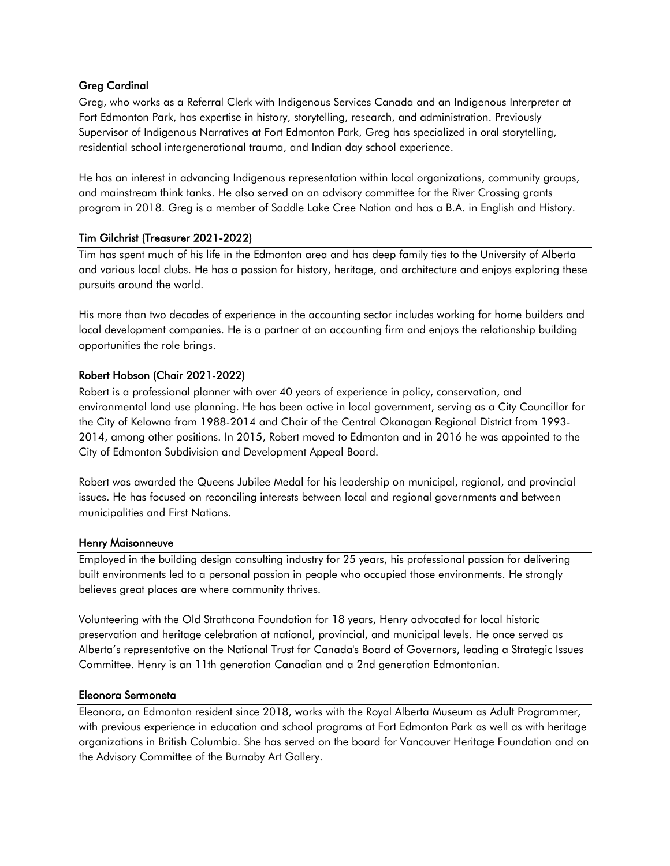# Greg Cardinal

Greg, who works as a Referral Clerk with Indigenous Services Canada and an Indigenous Interpreter at Fort Edmonton Park, has expertise in history, storytelling, research, and administration. Previously Supervisor of Indigenous Narratives at Fort Edmonton Park, Greg has specialized in oral storytelling, residential school intergenerational trauma, and Indian day school experience.

He has an interest in advancing Indigenous representation within local organizations, community groups, and mainstream think tanks. He also served on an advisory committee for the River Crossing grants program in 2018. Greg is a member of Saddle Lake Cree Nation and has a B.A. in English and History.

# Tim Gilchrist (Treasurer 2021-2022)

Tim has spent much of his life in the Edmonton area and has deep family ties to the University of Alberta and various local clubs. He has a passion for history, heritage, and architecture and enjoys exploring these pursuits around the world.

His more than two decades of experience in the accounting sector includes working for home builders and local development companies. He is a partner at an accounting firm and enjoys the relationship building opportunities the role brings.

# Robert Hobson (Chair 2021-2022)

Robert is a professional planner with over 40 years of experience in policy, conservation, and environmental land use planning. He has been active in local government, serving as a City Councillor for the City of Kelowna from 1988-2014 and Chair of the Central Okanagan Regional District from 1993- 2014, among other positions. In 2015, Robert moved to Edmonton and in 2016 he was appointed to the City of Edmonton Subdivision and Development Appeal Board.

Robert was awarded the Queens Jubilee Medal for his leadership on municipal, regional, and provincial issues. He has focused on reconciling interests between local and regional governments and between municipalities and First Nations.

## Henry Maisonneuve

Employed in the building design consulting industry for 25 years, his professional passion for delivering built environments led to a personal passion in people who occupied those environments. He strongly believes great places are where community thrives.

Volunteering with the Old Strathcona Foundation for 18 years, Henry advocated for local historic preservation and heritage celebration at national, provincial, and municipal levels. He once served as Alberta's representative on the National Trust for Canada's Board of Governors, leading a Strategic Issues Committee. Henry is an 11th generation Canadian and a 2nd generation Edmontonian.

## Eleonora Sermoneta

Eleonora, an Edmonton resident since 2018, works with the Royal Alberta Museum as Adult Programmer, with previous experience in education and school programs at Fort Edmonton Park as well as with heritage organizations in British Columbia. She has served on the board for Vancouver Heritage Foundation and on the Advisory Committee of the Burnaby Art Gallery.